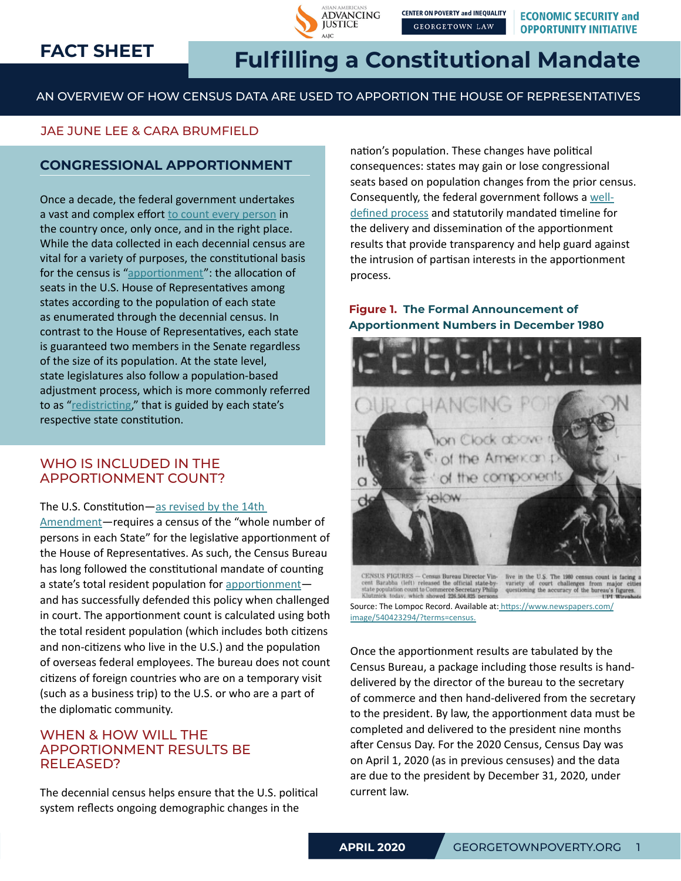# **FACT SHEET**



# **Fulfilling a Constitutional Mandate**

AN OVERVIEW OF HOW CENSUS DATA ARE USED TO APPORTION THE HOUSE OF REPRESENTATIVES

# JAE JUNE LEE & CARA BRUMFIELD

# **CONGRESSIONAL APPORTIONMENT**

Once a decade, the federal government undertakes a vast and complex effort [to count every person]( https://www.census.gov/newsroom/blogs/director/2018/11/counting_everyoneon.html ) in the country once, only once, and in the right place. While the data collected in each decennial census are vital for a variety of purposes, the constitutional basis for the census is ["apportionment](https://www.census.gov/history/www/reference/apportionment/)": the allocation of seats in the U.S. House of Representatives among states according to the population of each state as enumerated through the decennial census. In contrast to the House of Representatives, each state is guaranteed two members in the Senate regardless of the size of its population. At the state level, state legislatures also follow a population-based adjustment process, which is more commonly referred to as "[redistricting](https://www.brennancenter.org/our-work/research-reports/citizens-guide-redistricting-2010-edition)," that is guided by each state's respective state constitution.

## WHO IS INCLUDED IN THE APPORTIONMENT COUNT?

#### The U.S. Constitution—[as revised by the 14th](https://www.law.cornell.edu/constitution/amendmentxiv)

[Amendment—](https://www.law.cornell.edu/constitution/amendmentxiv)requires a census of the "whole number of persons in each State" for the legislative apportionment of the House of Representatives. As such, the Census Bureau has long followed the constitutional mandate of counting a state's total resident population for [apportionment](https://www.census.gov/topics/public-sector/congressional-apportionment/about/faqs.html#Q2) and has successfully defended this policy when challenged in court. The apportionment count is calculated using both the total resident population (which includes both citizens and non-citizens who live in the U.S.) and the population of overseas federal employees. The bureau does not count citizens of foreign countries who are on a temporary visit (such as a business trip) to the U.S. or who are a part of the diplomatic community.

### WHEN & HOW WILL THE APPORTIONMENT RESULTS BE RELEASED?

The decennial census helps ensure that the U.S. political system reflects ongoing demographic changes in the

nation's population. These changes have political consequences: states may gain or lose congressional seats based on population changes from the prior census. Consequently, the federal government follows a [well](https://www2.census.gov/programs-surveys/decennial/2020/program-management/planning-docs/DPD_detailed_operational_plan.pdf )[defined process](https://www2.census.gov/programs-surveys/decennial/2020/program-management/planning-docs/DPD_detailed_operational_plan.pdf ) and statutorily mandated timeline for the delivery and dissemination of the apportionment results that provide transparency and help guard against the intrusion of partisan interests in the apportionment process.

## **Figure 1. The Formal Announcement of Apportionment Numbers in December 1980**



CENSUS FIGURES - Census Bureau Director Vinlive in the U.S. The 1980 cen cent Barabba (left) released the official state-by-<br>state population count to Commerce Secretary Philip Klutznick today, which showed 226,504,825 persons variety of court challenges from major cit<br>questioning the accuracy of the bureau's figures

Source: The Lompoc Record. Available at: [https://www.newspapers.com/]( https://www.newspapers.com/image/540423294/?terms=census.  ) [image/540423294/?terms=census.]( https://www.newspapers.com/image/540423294/?terms=census.  )

Once the apportionment results are tabulated by the Census Bureau, a package including those results is handdelivered by the director of the bureau to the secretary of commerce and then hand-delivered from the secretary to the president. By law, the apportionment data must be completed and delivered to the president nine months after Census Day. For the 2020 Census, Census Day was on April 1, 2020 (as in previous censuses) and the data are due to the president by December 31, 2020, under current law.